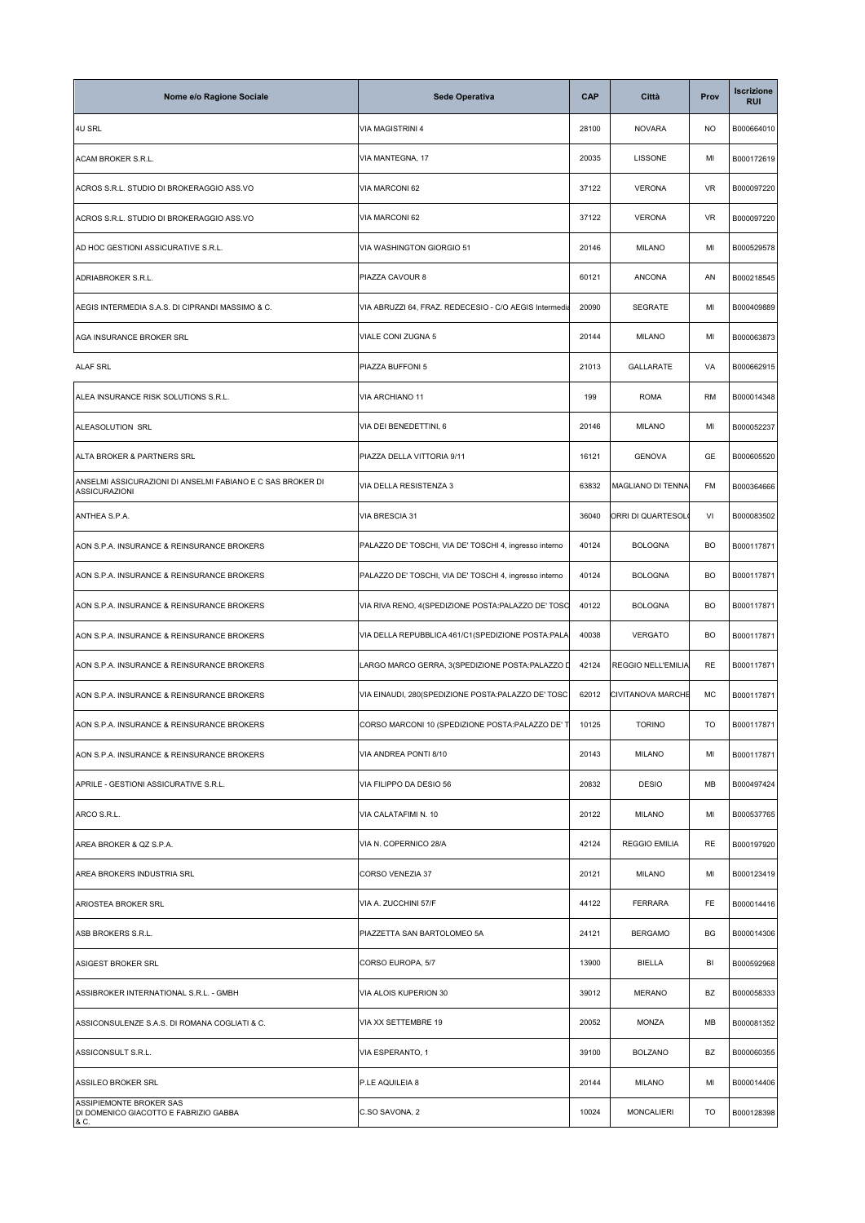| Nome e/o Ragione Sociale                                                           | <b>Sede Operativa</b>                                  | <b>CAP</b> | Città                     | Prov      | Iscrizione<br><b>RUI</b> |
|------------------------------------------------------------------------------------|--------------------------------------------------------|------------|---------------------------|-----------|--------------------------|
| <b>4U SRL</b>                                                                      | VIA MAGISTRINI 4                                       | 28100      | <b>NOVARA</b>             | <b>NO</b> | B000664010               |
| ACAM BROKER S.R.L.                                                                 | VIA MANTEGNA, 17                                       | 20035      | <b>LISSONE</b>            | MI        | B000172619               |
| ACROS S.R.L. STUDIO DI BROKERAGGIO ASS.VO                                          | VIA MARCONI 62                                         | 37122      | <b>VERONA</b>             | <b>VR</b> | B000097220               |
| ACROS S.R.L. STUDIO DI BROKERAGGIO ASS.VO                                          | VIA MARCONI 62                                         | 37122      | <b>VERONA</b>             | <b>VR</b> | B000097220               |
| AD HOC GESTIONI ASSICURATIVE S.R.L.                                                | VIA WASHINGTON GIORGIO 51                              | 20146      | <b>MILANO</b>             | MI        | B000529578               |
| ADRIABROKER S.R.L.                                                                 | PIAZZA CAVOUR 8                                        | 60121      | <b>ANCONA</b>             | AN        | B000218545               |
| AEGIS INTERMEDIA S.A.S. DI CIPRANDI MASSIMO & C.                                   | VIA ABRUZZI 64, FRAZ. REDECESIO - C/O AEGIS Intermedia | 20090      | <b>SEGRATE</b>            | MI        | B000409889               |
| AGA INSURANCE BROKER SRL                                                           | VIALE CONI ZUGNA 5                                     | 20144      | <b>MILANO</b>             | MI        | B000063873               |
| ALAF SRL                                                                           | PIAZZA BUFFONI 5                                       | 21013      | GALLARATE                 | VA        | B000662915               |
| ALEA INSURANCE RISK SOLUTIONS S.R.L.                                               | VIA ARCHIANO 11                                        | 199        | <b>ROMA</b>               | RM        | B000014348               |
| ALEASOLUTION SRL                                                                   | VIA DEI BENEDETTINI, 6                                 | 20146      | <b>MILANO</b>             | MI        | B000052237               |
| ALTA BROKER & PARTNERS SRL                                                         | PIAZZA DELLA VITTORIA 9/11                             | 16121      | <b>GENOVA</b>             | GE        | B000605520               |
| ANSELMI ASSICURAZIONI DI ANSELMI FABIANO E C SAS BROKER DI<br><b>ASSICURAZIONI</b> | VIA DELLA RESISTENZA 3                                 | 63832      | MAGLIANO DI TENNA         | FM        | B000364666               |
| ANTHEA S.P.A.                                                                      | VIA BRESCIA 31                                         | 36040      | ORRI DI QUARTESOL(        | VI        | B000083502               |
| AON S.P.A. INSURANCE & REINSURANCE BROKERS                                         | PALAZZO DE' TOSCHI, VIA DE' TOSCHI 4, ingresso interno | 40124      | <b>BOLOGNA</b>            | BO        | B000117871               |
| AON S.P.A. INSURANCE & REINSURANCE BROKERS                                         | PALAZZO DE' TOSCHI, VIA DE' TOSCHI 4, ingresso interno | 40124      | <b>BOLOGNA</b>            | BO        | B000117871               |
| AON S.P.A. INSURANCE & REINSURANCE BROKERS                                         | VIA RIVA RENO, 4(SPEDIZIONE POSTA:PALAZZO DE' TOSO     | 40122      | <b>BOLOGNA</b>            | BO        | B000117871               |
| AON S.P.A. INSURANCE & REINSURANCE BROKERS                                         | VIA DELLA REPUBBLICA 461/C1(SPEDIZIONE POSTA:PALA      | 40038      | <b>VERGATO</b>            | BO        | B000117871               |
| AON S.P.A. INSURANCE & REINSURANCE BROKERS                                         | LARGO MARCO GERRA, 3(SPEDIZIONE POSTA:PALAZZO D        | 42124      | <b>REGGIO NELL'EMILIA</b> | RE        | B000117871               |
| AON S.P.A. INSURANCE & REINSURANCE BROKERS                                         | VIA EINAUDI, 280(SPEDIZIONE POSTA:PALAZZO DE' TOSC     | 62012      | CIVITANOVA MARCHE         | MC        | B000117871               |
| AON S.P.A. INSURANCE & REINSURANCE BROKERS                                         | CORSO MARCONI 10 (SPEDIZIONE POSTA:PALAZZO DE' T       | 10125      | <b>TORINO</b>             | TO        | B000117871               |
| AON S.P.A. INSURANCE & REINSURANCE BROKERS                                         | VIA ANDREA PONTI 8/10                                  | 20143      | <b>MILANO</b>             | MI        | B000117871               |
| APRILE - GESTIONI ASSICURATIVE S.R.L.                                              | VIA FILIPPO DA DESIO 56                                | 20832      | <b>DESIO</b>              | MВ        | B000497424               |
| ARCO S.R.L.                                                                        | VIA CALATAFIMI N. 10                                   | 20122      | <b>MILANO</b>             | MI        | B000537765               |
| AREA BROKER & QZ S.P.A.                                                            | VIA N. COPERNICO 28/A                                  | 42124      | <b>REGGIO EMILIA</b>      | RE        | B000197920               |
| AREA BROKERS INDUSTRIA SRL                                                         | CORSO VENEZIA 37                                       | 20121      | <b>MILANO</b>             | MI        | B000123419               |
| ARIOSTEA BROKER SRL                                                                | VIA A. ZUCCHINI 57/F                                   | 44122      | <b>FERRARA</b>            | FE        | B000014416               |
| ASB BROKERS S.R.L.                                                                 | PIAZZETTA SAN BARTOLOMEO 5A                            | 24121      | <b>BERGAMO</b>            | BG        | B000014306               |
| ASIGEST BROKER SRL                                                                 | CORSO EUROPA, 5/7                                      | 13900      | BIELLA                    | BI        | B000592968               |
| ASSIBROKER INTERNATIONAL S.R.L. - GMBH                                             | VIA ALOIS KUPERION 30                                  | 39012      | <b>MERANO</b>             | BZ        | B000058333               |
| ASSICONSULENZE S.A.S. DI ROMANA COGLIATI & C.                                      | VIA XX SETTEMBRE 19                                    | 20052      | <b>MONZA</b>              | MВ        | B000081352               |
| ASSICONSULT S.R.L.                                                                 | VIA ESPERANTO, 1                                       | 39100      | <b>BOLZANO</b>            | BZ        | B000060355               |
| ASSILEO BROKER SRL                                                                 | P.LE AQUILEIA 8                                        | 20144      | <b>MILANO</b>             | MI        | B000014406               |
| ASSIPIEMONTE BROKER SAS<br>DI DOMENICO GIACOTTO E FABRIZIO GABBA<br>& C.           | C.SO SAVONA, 2                                         | 10024      | <b>MONCALIERI</b>         | TO        | B000128398               |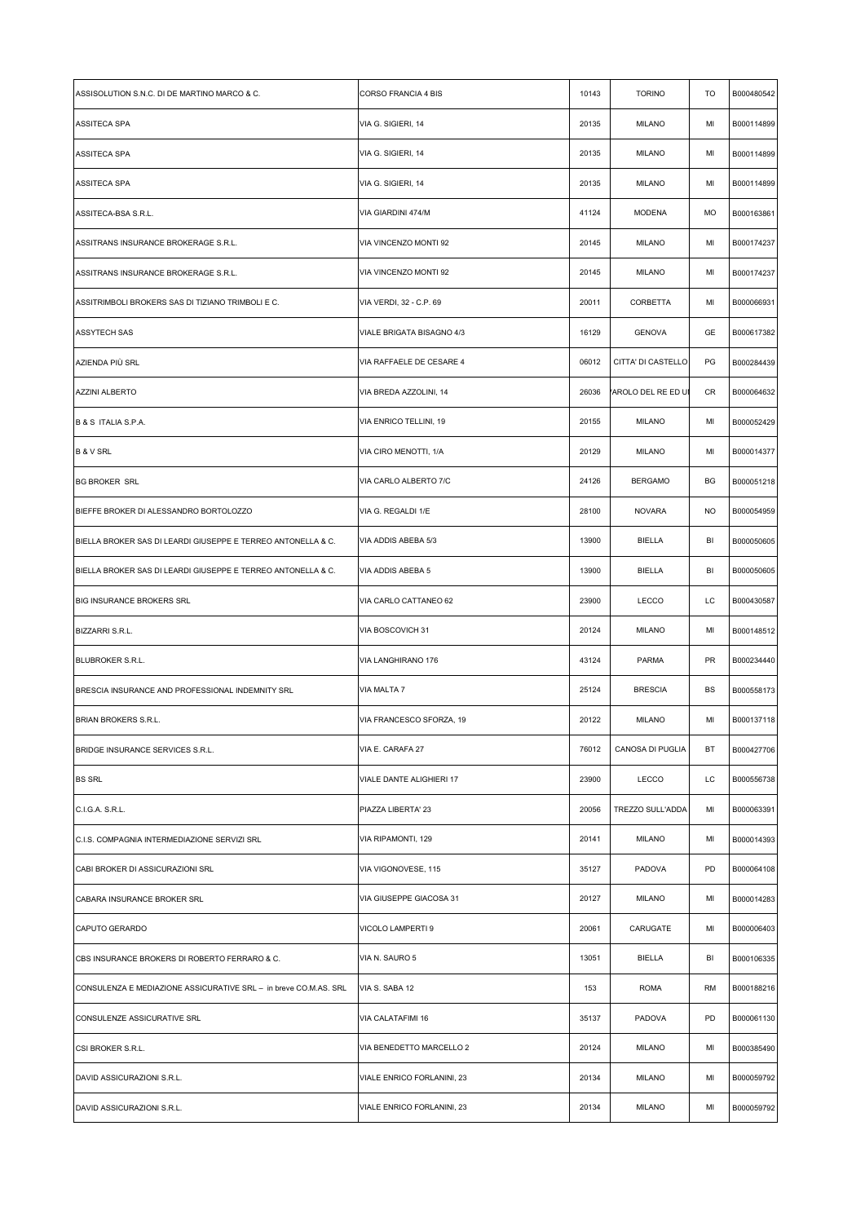| VIA G. SIGIERI, 14<br>20135<br><b>MILANO</b><br>MI<br>B000114899<br><b>ASSITECA SPA</b><br>20135<br>B000114899<br>ASSITECA SPA<br>VIA G. SIGIERI, 14<br><b>MILANO</b><br>MI<br>20135<br>B000114899<br><b>ASSITECA SPA</b><br>VIA G. SIGIERI, 14<br><b>MILANO</b><br>MI<br>VIA GIARDINI 474/M<br>41124<br><b>MODENA</b><br>MO<br>ASSITECA-BSA S.R.L.<br>B000163861<br>VIA VINCENZO MONTI 92<br>20145<br><b>MILANO</b><br>ASSITRANS INSURANCE BROKERAGE S.R.L.<br>MI<br>B000174237<br>ASSITRANS INSURANCE BROKERAGE S.R.L.<br>VIA VINCENZO MONTI 92<br>20145<br><b>MILANO</b><br>MI<br>B000174237<br>VIA VERDI, 32 - C.P. 69<br>20011<br>CORBETTA<br>MI<br>B000066931<br>ASSITRIMBOLI BROKERS SAS DI TIZIANO TRIMBOLI E C.<br>16129<br><b>GENOVA</b><br>GE<br><b>ASSYTECH SAS</b><br>VIALE BRIGATA BISAGNO 4/3<br>B000617382<br>06012<br>CITTA' DI CASTELLO<br>PG<br>AZIENDA PIÙ SRL<br>VIA RAFFAELE DE CESARE 4<br>B000284439<br>B000064632<br><b>AZZINI ALBERTO</b><br>VIA BREDA AZZOLINI, 14<br>26036<br>AROLO DEL RE ED UI<br>CR<br>B & S ITALIA S.P.A.<br>VIA ENRICO TELLINI, 19<br>20155<br><b>MILANO</b><br>MI<br>B000052429<br>20129<br>VIA CIRO MENOTTI, 1/A<br><b>MILANO</b><br>MI<br><b>B &amp; V SRL</b><br>B000014377<br>24126<br><b>BG BROKER SRL</b><br>VIA CARLO ALBERTO 7/C<br><b>BERGAMO</b><br>BG<br>B000051218<br>BIEFFE BROKER DI ALESSANDRO BORTOLOZZO<br>VIA G. REGALDI 1/E<br>28100<br><b>NOVARA</b><br><b>NO</b><br>B000054959<br>VIA ADDIS ABEBA 5/3<br>13900<br>BIELLA<br>BI<br>B000050605<br>BIELLA BROKER SAS DI LEARDI GIUSEPPE E TERREO ANTONELLA & C.<br>VIA ADDIS ABEBA 5<br>13900<br>BIELLA<br>BI<br>B000050605<br>BIELLA BROKER SAS DI LEARDI GIUSEPPE E TERREO ANTONELLA & C.<br>BIG INSURANCE BROKERS SRL<br>VIA CARLO CATTANEO 62<br>23900<br><b>LECCO</b><br>LC<br>B000430587<br>VIA BOSCOVICH 31<br>20124<br><b>MILANO</b><br>MI<br>B000148512<br>BIZZARRI S.R.L.<br>VIA LANGHIRANO 176<br>43124<br><b>PARMA</b><br>PR<br>BLUBROKER S.R.L.<br>B000234440<br>VIA MALTA 7<br>25124<br><b>BRESCIA</b><br>BS<br>BRESCIA INSURANCE AND PROFESSIONAL INDEMNITY SRL<br>B000558173<br><b>BRIAN BROKERS S.R.L.</b><br>VIA FRANCESCO SFORZA, 19<br>20122<br><b>MILANO</b><br>MI<br>B000137118<br>76012<br>CANOSA DI PUGLIA<br>VIA E. CARAFA 27<br>ВT<br>B000427706<br>BRIDGE INSURANCE SERVICES S.R.L.<br>VIALE DANTE ALIGHIERI 17<br>23900<br><b>LECCO</b><br>LC<br>B000556738<br><b>BS SRL</b><br>B000063391<br>C.I.G.A. S.R.L.<br>PIAZZA LIBERTA' 23<br>20056<br>TREZZO SULL'ADDA<br>MI<br>20141<br>B000014393<br>C.I.S. COMPAGNIA INTERMEDIAZIONE SERVIZI SRL<br>VIA RIPAMONTI, 129<br><b>MILANO</b><br>MI<br>VIA VIGONOVESE, 115<br>35127<br>PADOVA<br>PD<br>B000064108<br>CABI BROKER DI ASSICURAZIONI SRL<br>VIA GIUSEPPE GIACOSA 31<br>20127<br><b>MILANO</b><br>MI<br>CABARA INSURANCE BROKER SRL<br>B000014283<br>CARUGATE<br>B000006403<br>CAPUTO GERARDO<br>VICOLO LAMPERTI 9<br>20061<br>MI<br>VIA N. SAURO 5<br>13051<br>BIELLA<br>BI<br>B000106335<br>CBS INSURANCE BROKERS DI ROBERTO FERRARO & C.<br><b>ROMA</b><br>CONSULENZA E MEDIAZIONE ASSICURATIVE SRL - in breve CO.M.AS. SRL<br>VIA S. SABA 12<br>153<br>RM<br>B000188216<br>PADOVA<br>VIA CALATAFIMI 16<br>35137<br>PD<br>B000061130<br>CONSULENZE ASSICURATIVE SRL<br>20124<br>B000385490<br>CSI BROKER S.R.L.<br>VIA BENEDETTO MARCELLO 2<br><b>MILANO</b><br>MI<br>VIALE ENRICO FORLANINI, 23<br>20134<br><b>MILANO</b><br>MI<br>B000059792<br>DAVID ASSICURAZIONI S.R.L.<br>VIALE ENRICO FORLANINI, 23<br>20134<br><b>MILANO</b><br>MI<br>B000059792<br>DAVID ASSICURAZIONI S.R.L. | ASSISOLUTION S.N.C. DI DE MARTINO MARCO & C. | <b>CORSO FRANCIA 4 BIS</b> | 10143 | <b>TORINO</b> | TO | B000480542 |
|----------------------------------------------------------------------------------------------------------------------------------------------------------------------------------------------------------------------------------------------------------------------------------------------------------------------------------------------------------------------------------------------------------------------------------------------------------------------------------------------------------------------------------------------------------------------------------------------------------------------------------------------------------------------------------------------------------------------------------------------------------------------------------------------------------------------------------------------------------------------------------------------------------------------------------------------------------------------------------------------------------------------------------------------------------------------------------------------------------------------------------------------------------------------------------------------------------------------------------------------------------------------------------------------------------------------------------------------------------------------------------------------------------------------------------------------------------------------------------------------------------------------------------------------------------------------------------------------------------------------------------------------------------------------------------------------------------------------------------------------------------------------------------------------------------------------------------------------------------------------------------------------------------------------------------------------------------------------------------------------------------------------------------------------------------------------------------------------------------------------------------------------------------------------------------------------------------------------------------------------------------------------------------------------------------------------------------------------------------------------------------------------------------------------------------------------------------------------------------------------------------------------------------------------------------------------------------------------------------------------------------------------------------------------------------------------------------------------------------------------------------------------------------------------------------------------------------------------------------------------------------------------------------------------------------------------------------------------------------------------------------------------------------------------------------------------------------------------------------------------------------------------------------------------------------------------------------------------------------------------------------------------------------------------------------------------------------------------------------------------------------------------------------------------------------------------------------------------------------------------------------------------------------------------------------------------------------------------|----------------------------------------------|----------------------------|-------|---------------|----|------------|
|                                                                                                                                                                                                                                                                                                                                                                                                                                                                                                                                                                                                                                                                                                                                                                                                                                                                                                                                                                                                                                                                                                                                                                                                                                                                                                                                                                                                                                                                                                                                                                                                                                                                                                                                                                                                                                                                                                                                                                                                                                                                                                                                                                                                                                                                                                                                                                                                                                                                                                                                                                                                                                                                                                                                                                                                                                                                                                                                                                                                                                                                                                                                                                                                                                                                                                                                                                                                                                                                                                                                                                                              |                                              |                            |       |               |    |            |
|                                                                                                                                                                                                                                                                                                                                                                                                                                                                                                                                                                                                                                                                                                                                                                                                                                                                                                                                                                                                                                                                                                                                                                                                                                                                                                                                                                                                                                                                                                                                                                                                                                                                                                                                                                                                                                                                                                                                                                                                                                                                                                                                                                                                                                                                                                                                                                                                                                                                                                                                                                                                                                                                                                                                                                                                                                                                                                                                                                                                                                                                                                                                                                                                                                                                                                                                                                                                                                                                                                                                                                                              |                                              |                            |       |               |    |            |
|                                                                                                                                                                                                                                                                                                                                                                                                                                                                                                                                                                                                                                                                                                                                                                                                                                                                                                                                                                                                                                                                                                                                                                                                                                                                                                                                                                                                                                                                                                                                                                                                                                                                                                                                                                                                                                                                                                                                                                                                                                                                                                                                                                                                                                                                                                                                                                                                                                                                                                                                                                                                                                                                                                                                                                                                                                                                                                                                                                                                                                                                                                                                                                                                                                                                                                                                                                                                                                                                                                                                                                                              |                                              |                            |       |               |    |            |
|                                                                                                                                                                                                                                                                                                                                                                                                                                                                                                                                                                                                                                                                                                                                                                                                                                                                                                                                                                                                                                                                                                                                                                                                                                                                                                                                                                                                                                                                                                                                                                                                                                                                                                                                                                                                                                                                                                                                                                                                                                                                                                                                                                                                                                                                                                                                                                                                                                                                                                                                                                                                                                                                                                                                                                                                                                                                                                                                                                                                                                                                                                                                                                                                                                                                                                                                                                                                                                                                                                                                                                                              |                                              |                            |       |               |    |            |
|                                                                                                                                                                                                                                                                                                                                                                                                                                                                                                                                                                                                                                                                                                                                                                                                                                                                                                                                                                                                                                                                                                                                                                                                                                                                                                                                                                                                                                                                                                                                                                                                                                                                                                                                                                                                                                                                                                                                                                                                                                                                                                                                                                                                                                                                                                                                                                                                                                                                                                                                                                                                                                                                                                                                                                                                                                                                                                                                                                                                                                                                                                                                                                                                                                                                                                                                                                                                                                                                                                                                                                                              |                                              |                            |       |               |    |            |
|                                                                                                                                                                                                                                                                                                                                                                                                                                                                                                                                                                                                                                                                                                                                                                                                                                                                                                                                                                                                                                                                                                                                                                                                                                                                                                                                                                                                                                                                                                                                                                                                                                                                                                                                                                                                                                                                                                                                                                                                                                                                                                                                                                                                                                                                                                                                                                                                                                                                                                                                                                                                                                                                                                                                                                                                                                                                                                                                                                                                                                                                                                                                                                                                                                                                                                                                                                                                                                                                                                                                                                                              |                                              |                            |       |               |    |            |
|                                                                                                                                                                                                                                                                                                                                                                                                                                                                                                                                                                                                                                                                                                                                                                                                                                                                                                                                                                                                                                                                                                                                                                                                                                                                                                                                                                                                                                                                                                                                                                                                                                                                                                                                                                                                                                                                                                                                                                                                                                                                                                                                                                                                                                                                                                                                                                                                                                                                                                                                                                                                                                                                                                                                                                                                                                                                                                                                                                                                                                                                                                                                                                                                                                                                                                                                                                                                                                                                                                                                                                                              |                                              |                            |       |               |    |            |
|                                                                                                                                                                                                                                                                                                                                                                                                                                                                                                                                                                                                                                                                                                                                                                                                                                                                                                                                                                                                                                                                                                                                                                                                                                                                                                                                                                                                                                                                                                                                                                                                                                                                                                                                                                                                                                                                                                                                                                                                                                                                                                                                                                                                                                                                                                                                                                                                                                                                                                                                                                                                                                                                                                                                                                                                                                                                                                                                                                                                                                                                                                                                                                                                                                                                                                                                                                                                                                                                                                                                                                                              |                                              |                            |       |               |    |            |
|                                                                                                                                                                                                                                                                                                                                                                                                                                                                                                                                                                                                                                                                                                                                                                                                                                                                                                                                                                                                                                                                                                                                                                                                                                                                                                                                                                                                                                                                                                                                                                                                                                                                                                                                                                                                                                                                                                                                                                                                                                                                                                                                                                                                                                                                                                                                                                                                                                                                                                                                                                                                                                                                                                                                                                                                                                                                                                                                                                                                                                                                                                                                                                                                                                                                                                                                                                                                                                                                                                                                                                                              |                                              |                            |       |               |    |            |
|                                                                                                                                                                                                                                                                                                                                                                                                                                                                                                                                                                                                                                                                                                                                                                                                                                                                                                                                                                                                                                                                                                                                                                                                                                                                                                                                                                                                                                                                                                                                                                                                                                                                                                                                                                                                                                                                                                                                                                                                                                                                                                                                                                                                                                                                                                                                                                                                                                                                                                                                                                                                                                                                                                                                                                                                                                                                                                                                                                                                                                                                                                                                                                                                                                                                                                                                                                                                                                                                                                                                                                                              |                                              |                            |       |               |    |            |
|                                                                                                                                                                                                                                                                                                                                                                                                                                                                                                                                                                                                                                                                                                                                                                                                                                                                                                                                                                                                                                                                                                                                                                                                                                                                                                                                                                                                                                                                                                                                                                                                                                                                                                                                                                                                                                                                                                                                                                                                                                                                                                                                                                                                                                                                                                                                                                                                                                                                                                                                                                                                                                                                                                                                                                                                                                                                                                                                                                                                                                                                                                                                                                                                                                                                                                                                                                                                                                                                                                                                                                                              |                                              |                            |       |               |    |            |
|                                                                                                                                                                                                                                                                                                                                                                                                                                                                                                                                                                                                                                                                                                                                                                                                                                                                                                                                                                                                                                                                                                                                                                                                                                                                                                                                                                                                                                                                                                                                                                                                                                                                                                                                                                                                                                                                                                                                                                                                                                                                                                                                                                                                                                                                                                                                                                                                                                                                                                                                                                                                                                                                                                                                                                                                                                                                                                                                                                                                                                                                                                                                                                                                                                                                                                                                                                                                                                                                                                                                                                                              |                                              |                            |       |               |    |            |
|                                                                                                                                                                                                                                                                                                                                                                                                                                                                                                                                                                                                                                                                                                                                                                                                                                                                                                                                                                                                                                                                                                                                                                                                                                                                                                                                                                                                                                                                                                                                                                                                                                                                                                                                                                                                                                                                                                                                                                                                                                                                                                                                                                                                                                                                                                                                                                                                                                                                                                                                                                                                                                                                                                                                                                                                                                                                                                                                                                                                                                                                                                                                                                                                                                                                                                                                                                                                                                                                                                                                                                                              |                                              |                            |       |               |    |            |
|                                                                                                                                                                                                                                                                                                                                                                                                                                                                                                                                                                                                                                                                                                                                                                                                                                                                                                                                                                                                                                                                                                                                                                                                                                                                                                                                                                                                                                                                                                                                                                                                                                                                                                                                                                                                                                                                                                                                                                                                                                                                                                                                                                                                                                                                                                                                                                                                                                                                                                                                                                                                                                                                                                                                                                                                                                                                                                                                                                                                                                                                                                                                                                                                                                                                                                                                                                                                                                                                                                                                                                                              |                                              |                            |       |               |    |            |
|                                                                                                                                                                                                                                                                                                                                                                                                                                                                                                                                                                                                                                                                                                                                                                                                                                                                                                                                                                                                                                                                                                                                                                                                                                                                                                                                                                                                                                                                                                                                                                                                                                                                                                                                                                                                                                                                                                                                                                                                                                                                                                                                                                                                                                                                                                                                                                                                                                                                                                                                                                                                                                                                                                                                                                                                                                                                                                                                                                                                                                                                                                                                                                                                                                                                                                                                                                                                                                                                                                                                                                                              |                                              |                            |       |               |    |            |
|                                                                                                                                                                                                                                                                                                                                                                                                                                                                                                                                                                                                                                                                                                                                                                                                                                                                                                                                                                                                                                                                                                                                                                                                                                                                                                                                                                                                                                                                                                                                                                                                                                                                                                                                                                                                                                                                                                                                                                                                                                                                                                                                                                                                                                                                                                                                                                                                                                                                                                                                                                                                                                                                                                                                                                                                                                                                                                                                                                                                                                                                                                                                                                                                                                                                                                                                                                                                                                                                                                                                                                                              |                                              |                            |       |               |    |            |
|                                                                                                                                                                                                                                                                                                                                                                                                                                                                                                                                                                                                                                                                                                                                                                                                                                                                                                                                                                                                                                                                                                                                                                                                                                                                                                                                                                                                                                                                                                                                                                                                                                                                                                                                                                                                                                                                                                                                                                                                                                                                                                                                                                                                                                                                                                                                                                                                                                                                                                                                                                                                                                                                                                                                                                                                                                                                                                                                                                                                                                                                                                                                                                                                                                                                                                                                                                                                                                                                                                                                                                                              |                                              |                            |       |               |    |            |
|                                                                                                                                                                                                                                                                                                                                                                                                                                                                                                                                                                                                                                                                                                                                                                                                                                                                                                                                                                                                                                                                                                                                                                                                                                                                                                                                                                                                                                                                                                                                                                                                                                                                                                                                                                                                                                                                                                                                                                                                                                                                                                                                                                                                                                                                                                                                                                                                                                                                                                                                                                                                                                                                                                                                                                                                                                                                                                                                                                                                                                                                                                                                                                                                                                                                                                                                                                                                                                                                                                                                                                                              |                                              |                            |       |               |    |            |
|                                                                                                                                                                                                                                                                                                                                                                                                                                                                                                                                                                                                                                                                                                                                                                                                                                                                                                                                                                                                                                                                                                                                                                                                                                                                                                                                                                                                                                                                                                                                                                                                                                                                                                                                                                                                                                                                                                                                                                                                                                                                                                                                                                                                                                                                                                                                                                                                                                                                                                                                                                                                                                                                                                                                                                                                                                                                                                                                                                                                                                                                                                                                                                                                                                                                                                                                                                                                                                                                                                                                                                                              |                                              |                            |       |               |    |            |
|                                                                                                                                                                                                                                                                                                                                                                                                                                                                                                                                                                                                                                                                                                                                                                                                                                                                                                                                                                                                                                                                                                                                                                                                                                                                                                                                                                                                                                                                                                                                                                                                                                                                                                                                                                                                                                                                                                                                                                                                                                                                                                                                                                                                                                                                                                                                                                                                                                                                                                                                                                                                                                                                                                                                                                                                                                                                                                                                                                                                                                                                                                                                                                                                                                                                                                                                                                                                                                                                                                                                                                                              |                                              |                            |       |               |    |            |
|                                                                                                                                                                                                                                                                                                                                                                                                                                                                                                                                                                                                                                                                                                                                                                                                                                                                                                                                                                                                                                                                                                                                                                                                                                                                                                                                                                                                                                                                                                                                                                                                                                                                                                                                                                                                                                                                                                                                                                                                                                                                                                                                                                                                                                                                                                                                                                                                                                                                                                                                                                                                                                                                                                                                                                                                                                                                                                                                                                                                                                                                                                                                                                                                                                                                                                                                                                                                                                                                                                                                                                                              |                                              |                            |       |               |    |            |
|                                                                                                                                                                                                                                                                                                                                                                                                                                                                                                                                                                                                                                                                                                                                                                                                                                                                                                                                                                                                                                                                                                                                                                                                                                                                                                                                                                                                                                                                                                                                                                                                                                                                                                                                                                                                                                                                                                                                                                                                                                                                                                                                                                                                                                                                                                                                                                                                                                                                                                                                                                                                                                                                                                                                                                                                                                                                                                                                                                                                                                                                                                                                                                                                                                                                                                                                                                                                                                                                                                                                                                                              |                                              |                            |       |               |    |            |
|                                                                                                                                                                                                                                                                                                                                                                                                                                                                                                                                                                                                                                                                                                                                                                                                                                                                                                                                                                                                                                                                                                                                                                                                                                                                                                                                                                                                                                                                                                                                                                                                                                                                                                                                                                                                                                                                                                                                                                                                                                                                                                                                                                                                                                                                                                                                                                                                                                                                                                                                                                                                                                                                                                                                                                                                                                                                                                                                                                                                                                                                                                                                                                                                                                                                                                                                                                                                                                                                                                                                                                                              |                                              |                            |       |               |    |            |
|                                                                                                                                                                                                                                                                                                                                                                                                                                                                                                                                                                                                                                                                                                                                                                                                                                                                                                                                                                                                                                                                                                                                                                                                                                                                                                                                                                                                                                                                                                                                                                                                                                                                                                                                                                                                                                                                                                                                                                                                                                                                                                                                                                                                                                                                                                                                                                                                                                                                                                                                                                                                                                                                                                                                                                                                                                                                                                                                                                                                                                                                                                                                                                                                                                                                                                                                                                                                                                                                                                                                                                                              |                                              |                            |       |               |    |            |
|                                                                                                                                                                                                                                                                                                                                                                                                                                                                                                                                                                                                                                                                                                                                                                                                                                                                                                                                                                                                                                                                                                                                                                                                                                                                                                                                                                                                                                                                                                                                                                                                                                                                                                                                                                                                                                                                                                                                                                                                                                                                                                                                                                                                                                                                                                                                                                                                                                                                                                                                                                                                                                                                                                                                                                                                                                                                                                                                                                                                                                                                                                                                                                                                                                                                                                                                                                                                                                                                                                                                                                                              |                                              |                            |       |               |    |            |
|                                                                                                                                                                                                                                                                                                                                                                                                                                                                                                                                                                                                                                                                                                                                                                                                                                                                                                                                                                                                                                                                                                                                                                                                                                                                                                                                                                                                                                                                                                                                                                                                                                                                                                                                                                                                                                                                                                                                                                                                                                                                                                                                                                                                                                                                                                                                                                                                                                                                                                                                                                                                                                                                                                                                                                                                                                                                                                                                                                                                                                                                                                                                                                                                                                                                                                                                                                                                                                                                                                                                                                                              |                                              |                            |       |               |    |            |
|                                                                                                                                                                                                                                                                                                                                                                                                                                                                                                                                                                                                                                                                                                                                                                                                                                                                                                                                                                                                                                                                                                                                                                                                                                                                                                                                                                                                                                                                                                                                                                                                                                                                                                                                                                                                                                                                                                                                                                                                                                                                                                                                                                                                                                                                                                                                                                                                                                                                                                                                                                                                                                                                                                                                                                                                                                                                                                                                                                                                                                                                                                                                                                                                                                                                                                                                                                                                                                                                                                                                                                                              |                                              |                            |       |               |    |            |
|                                                                                                                                                                                                                                                                                                                                                                                                                                                                                                                                                                                                                                                                                                                                                                                                                                                                                                                                                                                                                                                                                                                                                                                                                                                                                                                                                                                                                                                                                                                                                                                                                                                                                                                                                                                                                                                                                                                                                                                                                                                                                                                                                                                                                                                                                                                                                                                                                                                                                                                                                                                                                                                                                                                                                                                                                                                                                                                                                                                                                                                                                                                                                                                                                                                                                                                                                                                                                                                                                                                                                                                              |                                              |                            |       |               |    |            |
|                                                                                                                                                                                                                                                                                                                                                                                                                                                                                                                                                                                                                                                                                                                                                                                                                                                                                                                                                                                                                                                                                                                                                                                                                                                                                                                                                                                                                                                                                                                                                                                                                                                                                                                                                                                                                                                                                                                                                                                                                                                                                                                                                                                                                                                                                                                                                                                                                                                                                                                                                                                                                                                                                                                                                                                                                                                                                                                                                                                                                                                                                                                                                                                                                                                                                                                                                                                                                                                                                                                                                                                              |                                              |                            |       |               |    |            |
|                                                                                                                                                                                                                                                                                                                                                                                                                                                                                                                                                                                                                                                                                                                                                                                                                                                                                                                                                                                                                                                                                                                                                                                                                                                                                                                                                                                                                                                                                                                                                                                                                                                                                                                                                                                                                                                                                                                                                                                                                                                                                                                                                                                                                                                                                                                                                                                                                                                                                                                                                                                                                                                                                                                                                                                                                                                                                                                                                                                                                                                                                                                                                                                                                                                                                                                                                                                                                                                                                                                                                                                              |                                              |                            |       |               |    |            |
|                                                                                                                                                                                                                                                                                                                                                                                                                                                                                                                                                                                                                                                                                                                                                                                                                                                                                                                                                                                                                                                                                                                                                                                                                                                                                                                                                                                                                                                                                                                                                                                                                                                                                                                                                                                                                                                                                                                                                                                                                                                                                                                                                                                                                                                                                                                                                                                                                                                                                                                                                                                                                                                                                                                                                                                                                                                                                                                                                                                                                                                                                                                                                                                                                                                                                                                                                                                                                                                                                                                                                                                              |                                              |                            |       |               |    |            |
|                                                                                                                                                                                                                                                                                                                                                                                                                                                                                                                                                                                                                                                                                                                                                                                                                                                                                                                                                                                                                                                                                                                                                                                                                                                                                                                                                                                                                                                                                                                                                                                                                                                                                                                                                                                                                                                                                                                                                                                                                                                                                                                                                                                                                                                                                                                                                                                                                                                                                                                                                                                                                                                                                                                                                                                                                                                                                                                                                                                                                                                                                                                                                                                                                                                                                                                                                                                                                                                                                                                                                                                              |                                              |                            |       |               |    |            |
|                                                                                                                                                                                                                                                                                                                                                                                                                                                                                                                                                                                                                                                                                                                                                                                                                                                                                                                                                                                                                                                                                                                                                                                                                                                                                                                                                                                                                                                                                                                                                                                                                                                                                                                                                                                                                                                                                                                                                                                                                                                                                                                                                                                                                                                                                                                                                                                                                                                                                                                                                                                                                                                                                                                                                                                                                                                                                                                                                                                                                                                                                                                                                                                                                                                                                                                                                                                                                                                                                                                                                                                              |                                              |                            |       |               |    |            |
|                                                                                                                                                                                                                                                                                                                                                                                                                                                                                                                                                                                                                                                                                                                                                                                                                                                                                                                                                                                                                                                                                                                                                                                                                                                                                                                                                                                                                                                                                                                                                                                                                                                                                                                                                                                                                                                                                                                                                                                                                                                                                                                                                                                                                                                                                                                                                                                                                                                                                                                                                                                                                                                                                                                                                                                                                                                                                                                                                                                                                                                                                                                                                                                                                                                                                                                                                                                                                                                                                                                                                                                              |                                              |                            |       |               |    |            |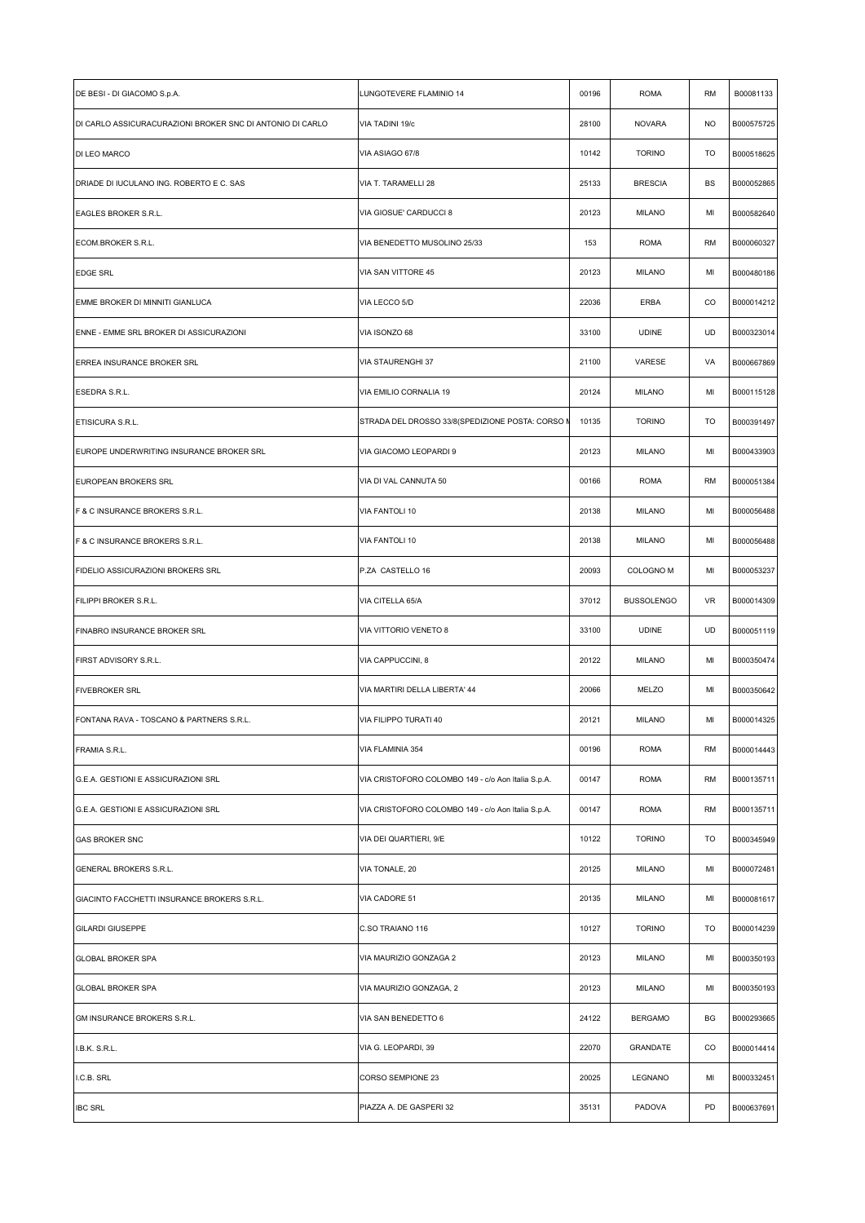| DE BESI - DI GIACOMO S.p.A.                               | LUNGOTEVERE FLAMINIO 14                            | 00196 | <b>ROMA</b>          | RM | B00081133  |
|-----------------------------------------------------------|----------------------------------------------------|-------|----------------------|----|------------|
| DI CARLO ASSICURACURAZIONI BROKER SNC DI ANTONIO DI CARLO | VIA TADINI 19/c                                    | 28100 | <b>NOVARA</b>        | NO | B000575725 |
| DI LEO MARCO                                              | VIA ASIAGO 67/8                                    | 10142 | <b>TORINO</b>        | TO | B000518625 |
| DRIADE DI IUCULANO ING. ROBERTO E C. SAS                  | VIA T. TARAMELLI 28                                | 25133 | <b>BRESCIA</b>       | BS | B000052865 |
| EAGLES BROKER S.R.L.                                      | VIA GIOSUE' CARDUCCI 8                             | 20123 | <b>MILANO</b>        | MI | B000582640 |
| ECOM.BROKER S.R.L.                                        | VIA BENEDETTO MUSOLINO 25/33                       | 153   | <b>ROMA</b>          | RM | B000060327 |
| <b>EDGE SRL</b>                                           | VIA SAN VITTORE 45                                 | 20123 | <b>MILANO</b>        | MI | B000480186 |
| EMME BROKER DI MINNITI GIANLUCA                           | VIA LECCO 5/D                                      | 22036 | ERBA                 | CO | B000014212 |
| ENNE - EMME SRL BROKER DI ASSICURAZIONI                   | VIA ISONZO 68                                      | 33100 | <b>UDINE</b>         | UD | B000323014 |
| ERREA INSURANCE BROKER SRL                                | VIA STAURENGHI 37                                  | 21100 | VARESE               | VA | B000667869 |
| ESEDRA S.R.L.                                             | VIA EMILIO CORNALIA 19                             | 20124 | <b>MILANO</b>        | MI | B000115128 |
| ETISICURA S.R.L.                                          | STRADA DEL DROSSO 33/8(SPEDIZIONE POSTA: CORSO M   | 10135 | <b>TORINO</b>        | TO | B000391497 |
| EUROPE UNDERWRITING INSURANCE BROKER SRL                  | VIA GIACOMO LEOPARDI 9                             | 20123 | <b>MILANO</b>        | MI | B000433903 |
| EUROPEAN BROKERS SRL                                      | VIA DI VAL CANNUTA 50                              | 00166 | <b>ROMA</b>          | RM | B000051384 |
| F & C INSURANCE BROKERS S.R.L.                            | VIA FANTOLI 10                                     | 20138 | <b>MILANO</b>        | MI | B000056488 |
| F & C INSURANCE BROKERS S.R.L.                            | VIA FANTOLI 10                                     | 20138 | <b>MILANO</b>        | MI | B000056488 |
| FIDELIO ASSICURAZIONI BROKERS SRL                         | P.ZA CASTELLO 16                                   | 20093 | COLOGNO <sub>M</sub> | MI | B000053237 |
| FILIPPI BROKER S.R.L.                                     | VIA CITELLA 65/A                                   | 37012 | <b>BUSSOLENGO</b>    | VR | B000014309 |
| FINABRO INSURANCE BROKER SRL                              | VIA VITTORIO VENETO 8                              | 33100 | <b>UDINE</b>         | UD | B000051119 |
| FIRST ADVISORY S.R.L.                                     | VIA CAPPUCCINI, 8                                  | 20122 | <b>MILANO</b>        | MI | B000350474 |
| <b>FIVEBROKER SRL</b>                                     | VIA MARTIRI DELLA LIBERTA' 44                      | 20066 | MELZO                | MI | B000350642 |
| FONTANA RAVA - TOSCANO & PARTNERS S.R.L.                  | VIA FILIPPO TURATI 40                              | 20121 | <b>MILANO</b>        | MI | B000014325 |
| FRAMIA S.R.L.                                             | VIA FLAMINIA 354                                   | 00196 | <b>ROMA</b>          | RM | B000014443 |
| G.E.A. GESTIONI E ASSICURAZIONI SRL                       | VIA CRISTOFORO COLOMBO 149 - c/o Aon Italia S.p.A. | 00147 | <b>ROMA</b>          | RM | B000135711 |
| G.E.A. GESTIONI E ASSICURAZIONI SRL                       | VIA CRISTOFORO COLOMBO 149 - c/o Aon Italia S.p.A. | 00147 | <b>ROMA</b>          | RM | B000135711 |
| <b>GAS BROKER SNC</b>                                     | VIA DEI QUARTIERI, 9/E                             | 10122 | <b>TORINO</b>        | TO | B000345949 |
| GENERAL BROKERS S.R.L.                                    | VIA TONALE, 20                                     | 20125 | <b>MILANO</b>        | MI | B000072481 |
| GIACINTO FACCHETTI INSURANCE BROKERS S.R.L.               | VIA CADORE 51                                      | 20135 | <b>MILANO</b>        | MI | B000081617 |
| <b>GILARDI GIUSEPPE</b>                                   | C.SO TRAIANO 116                                   | 10127 | <b>TORINO</b>        | TO | B000014239 |
| <b>GLOBAL BROKER SPA</b>                                  | VIA MAURIZIO GONZAGA 2                             | 20123 | <b>MILANO</b>        | MI | B000350193 |
| <b>GLOBAL BROKER SPA</b>                                  | VIA MAURIZIO GONZAGA, 2                            | 20123 | <b>MILANO</b>        | MI | B000350193 |
| GM INSURANCE BROKERS S.R.L.                               | VIA SAN BENEDETTO 6                                | 24122 | <b>BERGAMO</b>       | BG | B000293665 |
| I.B.K. S.R.L.                                             | VIA G. LEOPARDI, 39                                | 22070 | <b>GRANDATE</b>      | CO | B000014414 |
| I.C.B. SRL                                                | CORSO SEMPIONE 23                                  | 20025 | LEGNANO              | MI | B000332451 |
| <b>IBC SRL</b>                                            | PIAZZA A. DE GASPERI 32                            | 35131 | PADOVA               | PD | B000637691 |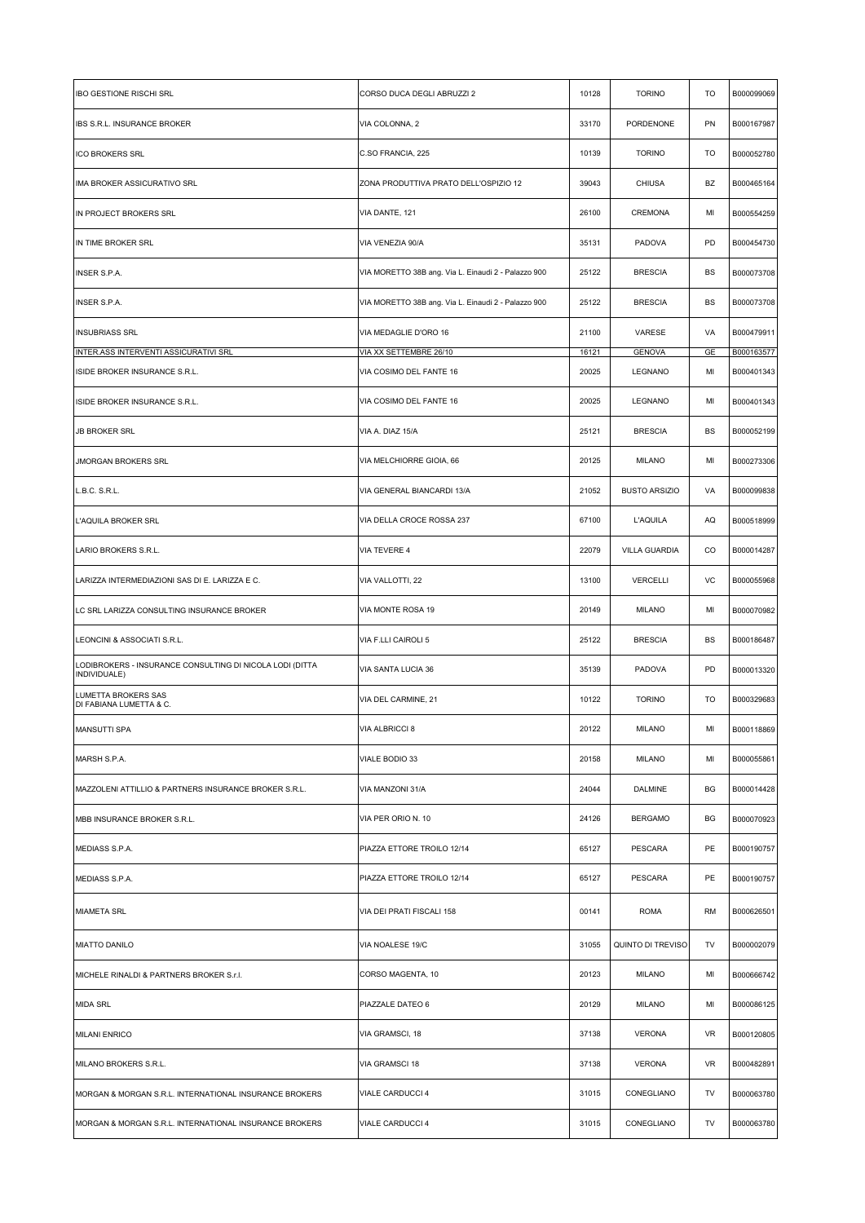| <b>IBO GESTIONE RISCHI SRL</b>                                           | CORSO DUCA DEGLI ABRUZZI 2                          | 10128 | <b>TORINO</b>        | TO | B000099069 |
|--------------------------------------------------------------------------|-----------------------------------------------------|-------|----------------------|----|------------|
| IBS S.R.L. INSURANCE BROKER                                              | VIA COLONNA, 2                                      | 33170 | PORDENONE            | PN | B000167987 |
| <b>ICO BROKERS SRL</b>                                                   | C.SO FRANCIA, 225                                   | 10139 | <b>TORINO</b>        | TO | B000052780 |
| IMA BROKER ASSICURATIVO SRL                                              | ZONA PRODUTTIVA PRATO DELL'OSPIZIO 12               | 39043 | <b>CHIUSA</b>        | BZ | B000465164 |
| IN PROJECT BROKERS SRL                                                   | VIA DANTE, 121                                      | 26100 | CREMONA              | MI | B000554259 |
| IN TIME BROKER SRL                                                       | VIA VENEZIA 90/A                                    | 35131 | PADOVA               | PD | B000454730 |
| <b>INSER S.P.A.</b>                                                      | VIA MORETTO 38B ang. Via L. Einaudi 2 - Palazzo 900 | 25122 | <b>BRESCIA</b>       | BS | B000073708 |
| INSER S.P.A.                                                             | VIA MORETTO 38B ang. Via L. Einaudi 2 - Palazzo 900 | 25122 | <b>BRESCIA</b>       | BS | B000073708 |
| <b>INSUBRIASS SRL</b>                                                    | VIA MEDAGLIE D'ORO 16                               | 21100 | VARESE               | VA | B000479911 |
| INTER.ASS INTERVENTI ASSICURATIVI SRL                                    | VIA XX SETTEMBRE 26/10                              | 16121 | <b>GENOVA</b>        | GE | B000163577 |
| ISIDE BROKER INSURANCE S.R.L.                                            | VIA COSIMO DEL FANTE 16                             | 20025 | LEGNANO              | MI | B000401343 |
| ISIDE BROKER INSURANCE S.R.L.                                            | VIA COSIMO DEL FANTE 16                             | 20025 | LEGNANO              | MI | B000401343 |
| <b>JB BROKER SRL</b>                                                     | VIA A. DIAZ 15/A                                    | 25121 | <b>BRESCIA</b>       | BS | B000052199 |
| <b>JMORGAN BROKERS SRL</b>                                               | VIA MELCHIORRE GIOIA, 66                            | 20125 | <b>MILANO</b>        | MI | B000273306 |
| L.B.C. S.R.L.                                                            | VIA GENERAL BIANCARDI 13/A                          | 21052 | <b>BUSTO ARSIZIO</b> | VA | B000099838 |
| L'AQUILA BROKER SRL                                                      | VIA DELLA CROCE ROSSA 237                           | 67100 | <b>L'AQUILA</b>      | AQ | B000518999 |
| LARIO BROKERS S.R.L.                                                     | VIA TEVERE 4                                        | 22079 | VILLA GUARDIA        | CO | B000014287 |
| LARIZZA INTERMEDIAZIONI SAS DI E. LARIZZA E C.                           | VIA VALLOTTI, 22                                    | 13100 | <b>VERCELLI</b>      | VC | B000055968 |
| LC SRL LARIZZA CONSULTING INSURANCE BROKER                               | VIA MONTE ROSA 19                                   | 20149 | <b>MILANO</b>        | MI | B000070982 |
| LEONCINI & ASSOCIATI S.R.L.                                              | VIA F.LLI CAIROLI 5                                 | 25122 | <b>BRESCIA</b>       | BS | B000186487 |
| LODIBROKERS - INSURANCE CONSULTING DI NICOLA LODI (DITTA<br>INDIVIDUALE) | VIA SANTA LUCIA 36                                  | 35139 | PADOVA               | PD | B000013320 |
| <b>LUMETTA BROKERS SAS</b><br>DI FABIANA LUMETTA & C.                    | VIA DEL CARMINE, 21                                 | 10122 | <b>TORINO</b>        | TO | B000329683 |
| MANSUTTI SPA                                                             | VIA ALBRICCI 8                                      | 20122 | MILANO               | MI | B000118869 |
| MARSH S.P.A.                                                             | VIALE BODIO 33                                      | 20158 | <b>MILANO</b>        | MI | B000055861 |
| MAZZOLENI ATTILLIO & PARTNERS INSURANCE BROKER S.R.L.                    | VIA MANZONI 31/A                                    | 24044 | DALMINE              | BG | B000014428 |
| MBB INSURANCE BROKER S.R.L.                                              | VIA PER ORIO N. 10                                  | 24126 | <b>BERGAMO</b>       | BG | B000070923 |
| MEDIASS S.P.A.                                                           | PIAZZA ETTORE TROILO 12/14                          | 65127 | PESCARA              | PE | B000190757 |
| MEDIASS S.P.A.                                                           | PIAZZA ETTORE TROILO 12/14                          | 65127 | PESCARA              | PE | B000190757 |
| <b>MIAMETA SRL</b>                                                       | VIA DEI PRATI FISCALI 158                           | 00141 | <b>ROMA</b>          | RM | B000626501 |
| <b>MIATTO DANILO</b>                                                     | VIA NOALESE 19/C                                    | 31055 | QUINTO DI TREVISO    | TV | B000002079 |
| MICHELE RINALDI & PARTNERS BROKER S.r.I.                                 | CORSO MAGENTA, 10                                   | 20123 | <b>MILANO</b>        | MI | B000666742 |
| <b>MIDA SRL</b>                                                          | PIAZZALE DATEO 6                                    | 20129 | <b>MILANO</b>        | MI | B000086125 |
| <b>MILANI ENRICO</b>                                                     | VIA GRAMSCI, 18                                     | 37138 | <b>VERONA</b>        | VR | B000120805 |
| MILANO BROKERS S.R.L.                                                    | VIA GRAMSCI 18                                      | 37138 | <b>VERONA</b>        | VR | B000482891 |
| MORGAN & MORGAN S.R.L. INTERNATIONAL INSURANCE BROKERS                   | VIALE CARDUCCI 4                                    | 31015 | CONEGLIANO           | TV | B000063780 |
| MORGAN & MORGAN S.R.L. INTERNATIONAL INSURANCE BROKERS                   | VIALE CARDUCCI 4                                    | 31015 | CONEGLIANO           | TV | B000063780 |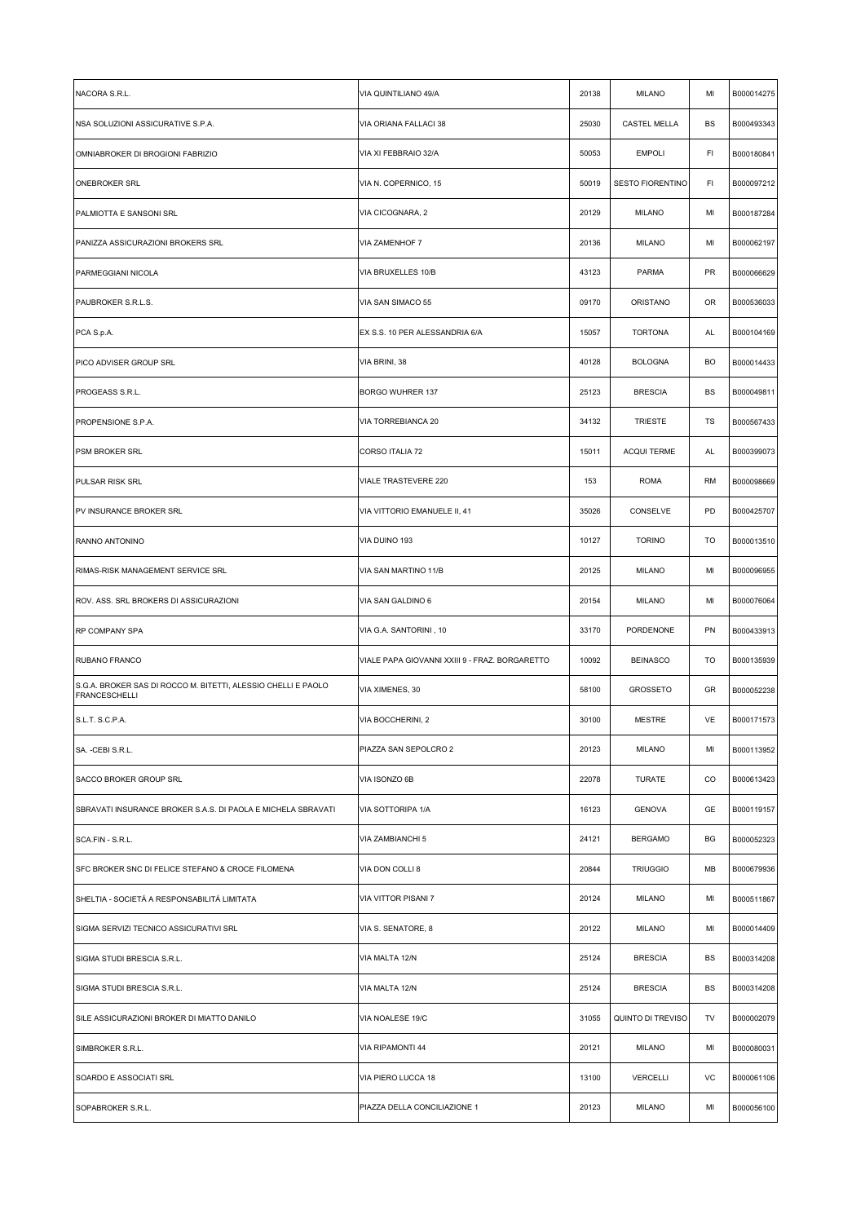| NACORA S.R.L.                                                                         | VIA QUINTILIANO 49/A                           | 20138 | <b>MILANO</b>           | MI  | B000014275 |
|---------------------------------------------------------------------------------------|------------------------------------------------|-------|-------------------------|-----|------------|
| NSA SOLUZIONI ASSICURATIVE S.P.A.                                                     | VIA ORIANA FALLACI 38                          | 25030 | CASTEL MELLA            | BS  | B000493343 |
| OMNIABROKER DI BROGIONI FABRIZIO                                                      | VIA XI FEBBRAIO 32/A                           | 50053 | <b>EMPOLI</b>           | FI  | B000180841 |
| <b>ONEBROKER SRL</b>                                                                  | VIA N. COPERNICO, 15                           | 50019 | <b>SESTO FIORENTINO</b> | FI. | B000097212 |
| PALMIOTTA E SANSONI SRL                                                               | VIA CICOGNARA, 2                               | 20129 | <b>MILANO</b>           | MI  | B000187284 |
| PANIZZA ASSICURAZIONI BROKERS SRL                                                     | VIA ZAMENHOF 7                                 | 20136 | <b>MILANO</b>           | MI  | B000062197 |
| PARMEGGIANI NICOLA                                                                    | VIA BRUXELLES 10/B                             | 43123 | <b>PARMA</b>            | PR  | B000066629 |
| PAUBROKER S.R.L.S.                                                                    | VIA SAN SIMACO 55                              | 09170 | ORISTANO                | OR  | B000536033 |
| PCA S.p.A.                                                                            | EX S.S. 10 PER ALESSANDRIA 6/A                 | 15057 | <b>TORTONA</b>          | AL  | B000104169 |
| PICO ADVISER GROUP SRL                                                                | VIA BRINI, 38                                  | 40128 | <b>BOLOGNA</b>          | BO  | B000014433 |
| PROGEASS S.R.L.                                                                       | <b>BORGO WUHRER 137</b>                        | 25123 | <b>BRESCIA</b>          | BS  | B000049811 |
| PROPENSIONE S.P.A.                                                                    | VIA TORREBIANCA 20                             | 34132 | <b>TRIESTE</b>          | TS  | B000567433 |
| <b>PSM BROKER SRL</b>                                                                 | CORSO ITALIA 72                                | 15011 | <b>ACQUI TERME</b>      | AL  | B000399073 |
| <b>PULSAR RISK SRL</b>                                                                | <b>VIALE TRASTEVERE 220</b>                    | 153   | <b>ROMA</b>             | RM  | B000098669 |
| PV INSURANCE BROKER SRL                                                               | VIA VITTORIO EMANUELE II, 41                   | 35026 | CONSELVE                | PD  | B000425707 |
| RANNO ANTONINO                                                                        | VIA DUINO 193                                  | 10127 | <b>TORINO</b>           | TO  | B000013510 |
| RIMAS-RISK MANAGEMENT SERVICE SRL                                                     | VIA SAN MARTINO 11/B                           | 20125 | <b>MILANO</b>           | MI  | B000096955 |
| ROV. ASS. SRL BROKERS DI ASSICURAZIONI                                                | VIA SAN GALDINO 6                              | 20154 | <b>MILANO</b>           | MI  | B000076064 |
| RP COMPANY SPA                                                                        | VIA G.A. SANTORINI, 10                         | 33170 | PORDENONE               | PN  | B000433913 |
| RUBANO FRANCO                                                                         | VIALE PAPA GIOVANNI XXIII 9 - FRAZ. BORGARETTO | 10092 | <b>BEINASCO</b>         | TO  | B000135939 |
| S.G.A. BROKER SAS DI ROCCO M. BITETTI, ALESSIO CHELLI E PAOLO<br><b>FRANCESCHELLI</b> | VIA XIMENES, 30                                | 58100 | <b>GROSSETO</b>         | GR  | B000052238 |
| S.L.T. S.C.P.A.                                                                       | VIA BOCCHERINI, 2                              | 30100 | <b>MESTRE</b>           | VE  | B000171573 |
| SA. - CEBI S.R.L.                                                                     | PIAZZA SAN SEPOLCRO 2                          | 20123 | <b>MILANO</b>           | MI  | B000113952 |
| SACCO BROKER GROUP SRL                                                                | VIA ISONZO 6B                                  | 22078 | TURATE                  | CO  | B000613423 |
| SBRAVATI INSURANCE BROKER S.A.S. DI PAOLA E MICHELA SBRAVATI                          | VIA SOTTORIPA 1/A                              | 16123 | <b>GENOVA</b>           | GE  | B000119157 |
| SCA.FIN - S.R.L.                                                                      | VIA ZAMBIANCHI 5                               | 24121 | <b>BERGAMO</b>          | ВG  | B000052323 |
| SFC BROKER SNC DI FELICE STEFANO & CROCE FILOMENA                                     | VIA DON COLLI 8                                | 20844 | <b>TRIUGGIO</b>         | MB  | B000679936 |
| SHELTIA - SOCIETÁ A RESPONSABILITÁ LIMITATA                                           | VIA VITTOR PISANI 7                            | 20124 | <b>MILANO</b>           | MI  | B000511867 |
| SIGMA SERVIZI TECNICO ASSICURATIVI SRL                                                | VIA S. SENATORE, 8                             | 20122 | <b>MILANO</b>           | MI  | B000014409 |
| SIGMA STUDI BRESCIA S.R.L.                                                            | VIA MALTA 12/N                                 | 25124 | <b>BRESCIA</b>          | BS  | B000314208 |
| SIGMA STUDI BRESCIA S.R.L.                                                            | VIA MALTA 12/N                                 | 25124 | <b>BRESCIA</b>          | BS  | B000314208 |
| SILE ASSICURAZIONI BROKER DI MIATTO DANILO                                            | VIA NOALESE 19/C                               | 31055 | QUINTO DI TREVISO       | TV  | B000002079 |
| SIMBROKER S.R.L.                                                                      | VIA RIPAMONTI 44                               | 20121 | <b>MILANO</b>           | MI  | B000080031 |
| SOARDO E ASSOCIATI SRL                                                                | VIA PIERO LUCCA 18                             | 13100 | <b>VERCELLI</b>         | VC  | B000061106 |
| SOPABROKER S.R.L.                                                                     | PIAZZA DELLA CONCILIAZIONE 1                   | 20123 | <b>MILANO</b>           | MI  | B000056100 |